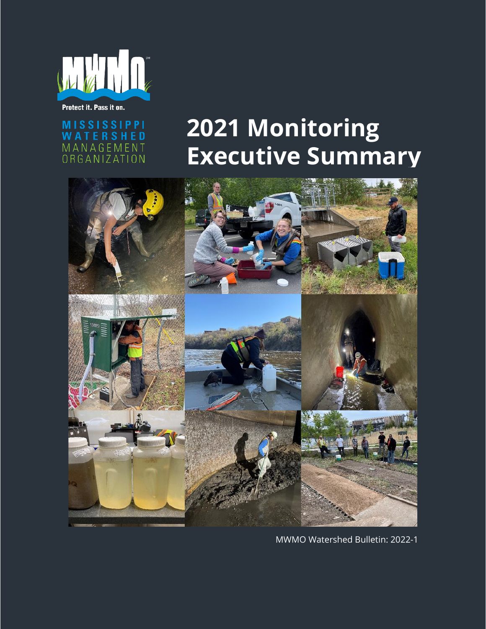

## **MISSISSIPPI** WATERSHED MANAGEMENT<br>ORGANIZATION

## **2021 Monitoring Executive Summary**



MWMO Watershed Bulletin: 2022-1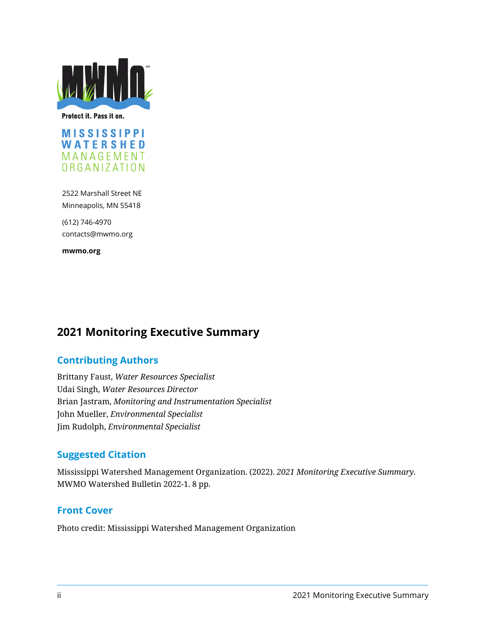

Protect it. Pass it on.



2522 Marshall Street NE Minneapolis, MN 55418

(612) 746-4970 contacts@mwmo.org

**mwmo.org**

### **2021 Monitoring Executive Summary**

#### **Contributing Authors**

Brittany Faust, *Water Resources Specialist* Udai Singh, *Water Resources Director* Brian Jastram, *Monitoring and Instrumentation Specialist* John Mueller, *Environmental Specialist* Jim Rudolph, *Environmental Specialist*

#### **Suggested Citation**

Mississippi Watershed Management Organization. (2022). *2021 Monitoring Executive Summary*. MWMO Watershed Bulletin 2022-1. 8 pp.

#### **Front Cover**

Photo credit: Mississippi Watershed Management Organization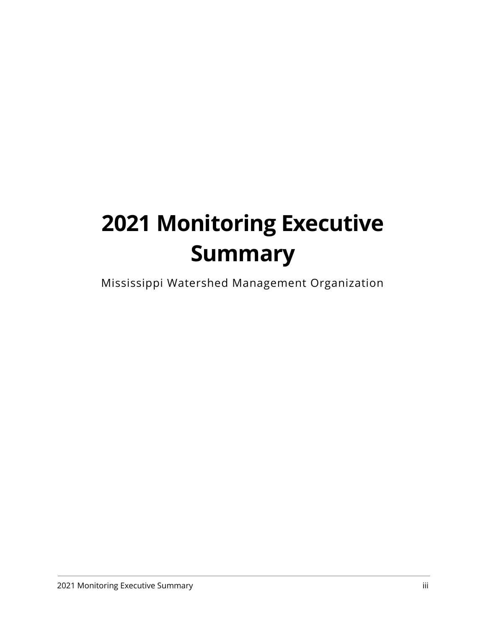# **2021 Monitoring Executive Summary**

Mississippi Watershed Management Organization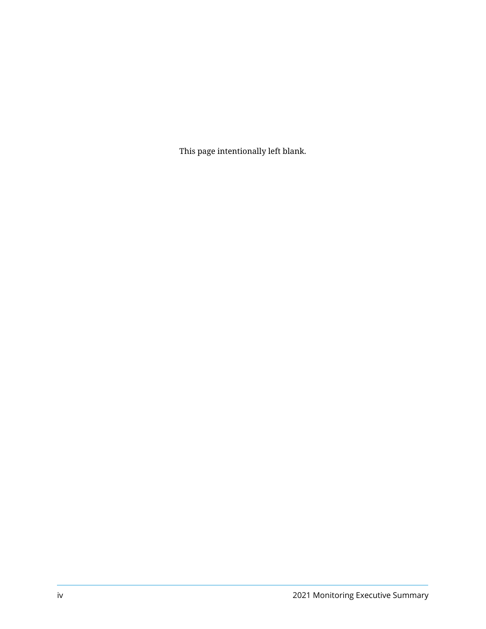This page intentionally left blank.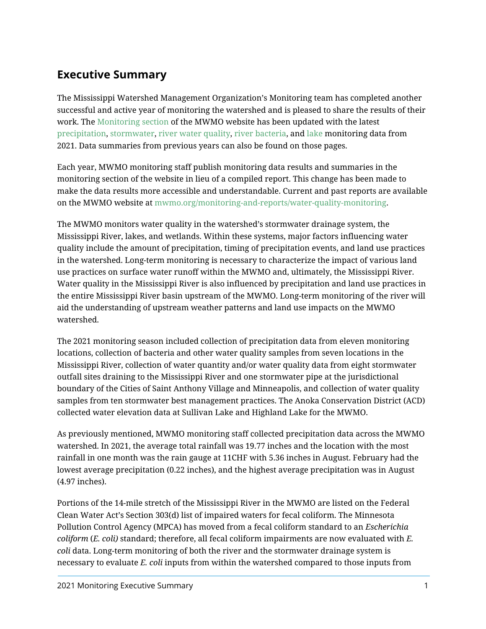## **Executive Summary**

The Mississippi Watershed Management Organization's Monitoring team has completed another successful and active year of monitoring the watershed and is pleased to share the results of their work. The [Monitoring section](http://www.mwmo.org/monitoring-and-reports/water-quality-monitoring/) of the MWMO website has been updated with the latest [precipitation,](https://www.mwmo.org/monitoring-and-reports/water-quality-monitoring/precipitation-monitoring/) [stormwater,](https://www.mwmo.org/monitoring-and-reports/water-quality-monitoring/stormwater-monitoring/) [river water quality,](https://www.mwmo.org/monitoring-and-reports/water-quality-monitoring/mississippi-river-monitoring/) [river bacteria,](https://www.mwmo.org/monitoring-and-reports/water-quality-monitoring/bacteria-monitoring/) an[d lake](https://www.mwmo.org/monitoring-and-reports/water-quality-monitoring/lake-monitoring/) monitoring data from 2021. Data summaries from previous years can also be found on those pages.

Each year, MWMO monitoring staff publish monitoring data results and summaries in the monitoring section of the website in lieu of a compiled report. This change has been made to make the data results more accessible and understandable. Current and past reports are available on the MWMO website at [mwmo.org/monitoring-and-reports/water-quality-monitoring.](https://www.mwmo.org/monitoring-and-reports/water-quality-monitoring/lake-monitoring/)

The MWMO monitors water quality in the watershed's stormwater drainage system, the Mississippi River, lakes, and wetlands. Within these systems, major factors influencing water quality include the amount of precipitation, timing of precipitation events, and land use practices in the watershed. Long-term monitoring is necessary to characterize the impact of various land use practices on surface water runoff within the MWMO and, ultimately, the Mississippi River. Water quality in the Mississippi River is also influenced by precipitation and land use practices in the entire Mississippi River basin upstream of the MWMO. Long-term monitoring of the river will aid the understanding of upstream weather patterns and land use impacts on the MWMO watershed.

The 2021 monitoring season included collection of precipitation data from eleven monitoring locations, collection of bacteria and other water quality samples from seven locations in the Mississippi River, collection of water quantity and/or water quality data from eight stormwater outfall sites draining to the Mississippi River and one stormwater pipe at the jurisdictional boundary of the Cities of Saint Anthony Village and Minneapolis, and collection of water quality samples from ten stormwater best management practices. The Anoka Conservation District (ACD) collected water elevation data at Sullivan Lake and Highland Lake for the MWMO.

As previously mentioned, MWMO monitoring staff collected precipitation data across the MWMO watershed. In 2021, the average total rainfall was 19.77 inches and the location with the most rainfall in one month was the rain gauge at 11CHF with 5.36 inches in August. February had the lowest average precipitation (0.22 inches), and the highest average precipitation was in August (4.97 inches).

Portions of the 14-mile stretch of the Mississippi River in the MWMO are listed on the Federal Clean Water Act's Section 303(d) list of impaired waters for fecal coliform. The Minnesota Pollution Control Agency (MPCA) has moved from a fecal coliform standard to an *Escherichia coliform* (*E. coli)* standard; therefore, all fecal coliform impairments are now evaluated with *E. coli* data. Long-term monitoring of both the river and the stormwater drainage system is necessary to evaluate *E. coli* inputs from within the watershed compared to those inputs from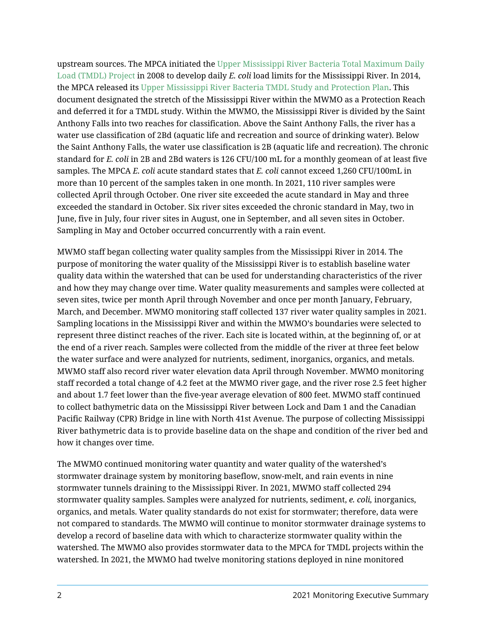upstream sources. The MPCA initiated th[e Upper Mississippi River Bacteria Total Maximum Daily](http://www.pca.state.mn.us/water/tmdl/upper-mississippi-river-bacteria-tmdl-project)  [Load \(TMDL\) Project](http://www.pca.state.mn.us/water/tmdl/upper-mississippi-river-bacteria-tmdl-project) in 2008 to develop daily *E. coli* load limits for the Mississippi River. In 2014, the MPCA released it[s Upper Mississippi River Bacteria TMDL Study and Protection Plan.](https://www.pca.state.mn.us/sites/default/files/wq-iw8-08e.pdf) This document designated the stretch of the Mississippi River within the MWMO as a Protection Reach and deferred it for a TMDL study. Within the MWMO, the Mississippi River is divided by the Saint Anthony Falls into two reaches for classification. Above the Saint Anthony Falls, the river has a water use classification of 2Bd (aquatic life and recreation and source of drinking water). Below the Saint Anthony Falls, the water use classification is 2B (aquatic life and recreation). The chronic standard for *E. coli* in 2B and 2Bd waters is 126 CFU/100 mL for a monthly geomean of at least five samples. The MPCA *E. coli* acute standard states that *E. coli* cannot exceed 1,260 CFU/100mL in more than 10 percent of the samples taken in one month. In 2021, 110 river samples were collected April through October. One river site exceeded the acute standard in May and three exceeded the standard in October. Six river sites exceeded the chronic standard in May, two in June, five in July, four river sites in August, one in September, and all seven sites in October. Sampling in May and October occurred concurrently with a rain event.

MWMO staff began collecting water quality samples from the Mississippi River in 2014. The purpose of monitoring the water quality of the Mississippi River is to establish baseline water quality data within the watershed that can be used for understanding characteristics of the river and how they may change over time. Water quality measurements and samples were collected at seven sites, twice per month April through November and once per month January, February, March, and December. MWMO monitoring staff collected 137 river water quality samples in 2021. Sampling locations in the Mississippi River and within the MWMO's boundaries were selected to represent three distinct reaches of the river. Each site is located within, at the beginning of, or at the end of a river reach. Samples were collected from the middle of the river at three feet below the water surface and were analyzed for nutrients, sediment, inorganics, organics, and metals. MWMO staff also record river water elevation data April through November. MWMO monitoring staff recorded a total change of 4.2 feet at the MWMO river gage, and the river rose 2.5 feet higher and about 1.7 feet lower than the five-year average elevation of 800 feet. MWMO staff continued to collect bathymetric data on the Mississippi River between Lock and Dam 1 and the Canadian Pacific Railway (CPR) Bridge in line with North 41st Avenue. The purpose of collecting Mississippi River bathymetric data is to provide baseline data on the shape and condition of the river bed and how it changes over time.

The MWMO continued monitoring water quantity and water quality of the watershed's stormwater drainage system by monitoring baseflow, snow-melt, and rain events in nine stormwater tunnels draining to the Mississippi River. In 2021, MWMO staff collected 294 stormwater quality samples. Samples were analyzed for nutrients, sediment, *e. coli,* inorganics, organics, and metals. Water quality standards do not exist for stormwater; therefore, data were not compared to standards. The MWMO will continue to monitor stormwater drainage systems to develop a record of baseline data with which to characterize stormwater quality within the watershed. The MWMO also provides stormwater data to the MPCA for TMDL projects within the watershed. In 2021, the MWMO had twelve monitoring stations deployed in nine monitored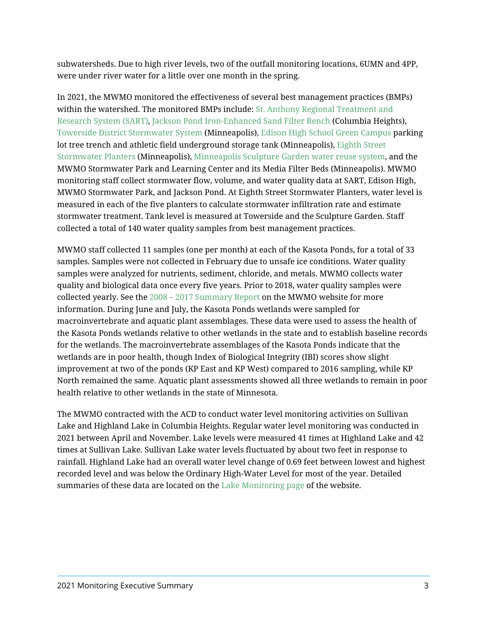subwatersheds. Due to high river levels, two of the outfall monitoring locations, 6UMN and 4PP, were under river water for a little over one month in the spring.

In 2021, the MWMO monitored the effectiveness of several best management practices (BMPs) within the watershed. The monitored BMPs include: [St. Anthony Regional Treatment and](http://www.mwmo.org/projects/st-anthony-regional-stormwater-treatment-research-system/)  [Research System](http://www.mwmo.org/projects/st-anthony-regional-stormwater-treatment-research-system/) (SART)[, Jackson Pond Iron-Enhanced Sand Filter Bench](http://www.mwmo.org/projects/jackson-pond/) (Columbia Heights), [Towerside District Stormwater System](http://www.mwmo.org/projects/towerside-district-stormwater-system/) (Minneapolis), [Edison High School Green Campus](http://www.mwmo.org/projects/edison-high-school-northeast-green-campus-initiative/) parking lot tree trench and athletic field underground storage tank (Minneapolis), [Eighth Street](https://www.mwmo.org/projects/eighth-street-stormwater-planters/)  [Stormwater Planters](https://www.mwmo.org/projects/eighth-street-stormwater-planters/) (Minneapolis), [Minneapolis Sculpture Garden water reuse system,](https://www.mwmo.org/projects/minneapolis-sculpture-garden/) and the MWMO Stormwater Park and Learning Center and its Media Filter Beds (Minneapolis). MWMO monitoring staff collect stormwater flow, volume, and water quality data at SART, Edison High, MWMO Stormwater Park, and Jackson Pond. At Eighth Street Stormwater Planters, water level is measured in each of the five planters to calculate stormwater infiltration rate and estimate stormwater treatment. Tank level is measured at Towerside and the Sculpture Garden. Staff collected a total of 140 water quality samples from best management practices.

MWMO staff collected 11 samples (one per month) at each of the Kasota Ponds, for a total of 33 samples. Samples were not collected in February due to unsafe ice conditions. Water quality samples were analyzed for nutrients, sediment, chloride, and metals. MWMO collects water quality and biological data once every five years. Prior to 2018, water quality samples were collected yearly. See the 2008 – [2017 Summary Report](https://www.mwmo.org/wp-content/uploads/2019/04/kasota_ponds_report_2019-04.pdf) on the MWMO website for more information. During June and July, the Kasota Ponds wetlands were sampled for macroinvertebrate and aquatic plant assemblages. These data were used to assess the health of the Kasota Ponds wetlands relative to other wetlands in the state and to establish baseline records for the wetlands. The macroinvertebrate assemblages of the Kasota Ponds indicate that the wetlands are in poor health, though Index of Biological Integrity (IBI) scores show slight improvement at two of the ponds (KP East and KP West) compared to 2016 sampling, while KP North remained the same. Aquatic plant assessments showed all three wetlands to remain in poor health relative to other wetlands in the state of Minnesota.

The MWMO contracted with the ACD to conduct water level monitoring activities on Sullivan Lake and Highland Lake in Columbia Heights. Regular water level monitoring was conducted in 2021 between April and November. Lake levels were measured 41 times at Highland Lake and 42 times at Sullivan Lake. Sullivan Lake water levels fluctuated by about two feet in response to rainfall. Highland Lake had an overall water level change of 0.69 feet between lowest and highest recorded level and was below the Ordinary High-Water Level for most of the year. Detailed summaries of these data are located on the [Lake Monitoring page](https://www.mwmo.org/monitoring-and-reports/water-quality-monitoring/lake-monitoring/) of the website.